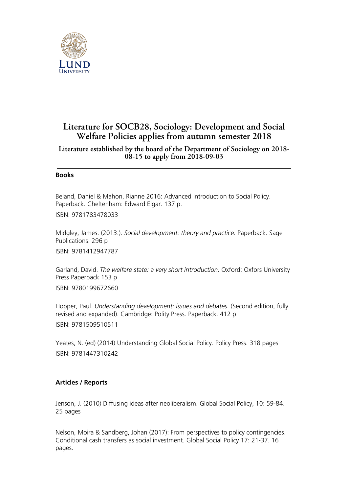

## **Literature for SOCB28, Sociology: Development and Social Welfare Policies applies from autumn semester 2018**

## **Literature established by the board of the Department of Sociology on 2018- 08-15 to apply from 2018-09-03**

## **Books**

Beland, Daniel & Mahon, Rianne 2016: Advanced Introduction to Social Policy. Paperback. Cheltenham: Edward Elgar. 137 p.

ISBN: 9781783478033

Midgley, James. (2013.). *Social development: theory and practice.* Paperback. Sage Publications. 296 p

ISBN: 9781412947787

Garland, David. *The welfare state: a very short introduction.* Oxford: Oxfors University Press Paperback 153 p ISBN: 9780199672660

Hopper, Paul. *Understanding development: issues and debates.* (Second edition, fully revised and expanded). Cambridge: Polity Press. Paperback. 412 p

ISBN: 9781509510511

Yeates, N. (ed) (2014) Understanding Global Social Policy. Policy Press. 318 pages ISBN: 9781447310242

## **Articles / Reports**

Jenson, J. (2010) Diffusing ideas after neoliberalism. Global Social Policy, 10: 59-84. 25 pages

Nelson, Moira & Sandberg, Johan (2017): From perspectives to policy contingencies. Conditional cash transfers as social investment. Global Social Policy 17: 21-37. 16 pages.